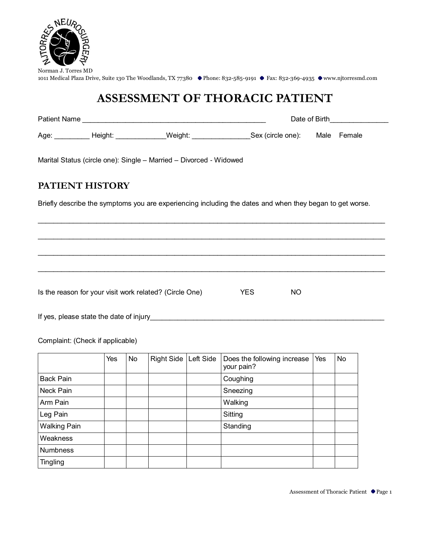

# **ASSESSMENT OF THORACIC PATIENT**

| <b>Patient Name</b> | Date of Birth |  |
|---------------------|---------------|--|
|                     |               |  |

Age: Height: Weight: Weight: Sex (circle one): Male Female

Marital Status (circle one): Single – Married – Divorced - Widowed

#### **PATIENT HISTORY**

Briefly describe the symptoms you are experiencing including the dates and when they began to get worse.

 $\mathcal{L}_\mathcal{L} = \mathcal{L}_\mathcal{L} = \mathcal{L}_\mathcal{L} = \mathcal{L}_\mathcal{L} = \mathcal{L}_\mathcal{L} = \mathcal{L}_\mathcal{L} = \mathcal{L}_\mathcal{L} = \mathcal{L}_\mathcal{L} = \mathcal{L}_\mathcal{L} = \mathcal{L}_\mathcal{L} = \mathcal{L}_\mathcal{L} = \mathcal{L}_\mathcal{L} = \mathcal{L}_\mathcal{L} = \mathcal{L}_\mathcal{L} = \mathcal{L}_\mathcal{L} = \mathcal{L}_\mathcal{L} = \mathcal{L}_\mathcal{L}$ 

 $\mathcal{L}_\text{max}$  , and the contribution of the contribution of the contribution of the contribution of the contribution of the contribution of the contribution of the contribution of the contribution of the contribution of t

 $\mathcal{L}_\mathcal{L} = \mathcal{L}_\mathcal{L} = \mathcal{L}_\mathcal{L} = \mathcal{L}_\mathcal{L} = \mathcal{L}_\mathcal{L} = \mathcal{L}_\mathcal{L} = \mathcal{L}_\mathcal{L} = \mathcal{L}_\mathcal{L} = \mathcal{L}_\mathcal{L} = \mathcal{L}_\mathcal{L} = \mathcal{L}_\mathcal{L} = \mathcal{L}_\mathcal{L} = \mathcal{L}_\mathcal{L} = \mathcal{L}_\mathcal{L} = \mathcal{L}_\mathcal{L} = \mathcal{L}_\mathcal{L} = \mathcal{L}_\mathcal{L}$ 

 $\mathcal{L}_\text{max}$  , and the contribution of the contribution of the contribution of the contribution of the contribution of the contribution of the contribution of the contribution of the contribution of the contribution of t

Is the reason for your visit work related? (Circle One) YES NO

If yes, please state the date of injury\_\_\_\_\_\_\_\_\_\_\_\_\_\_\_\_\_\_\_\_\_\_\_\_\_\_\_\_\_\_\_\_\_\_\_\_\_\_\_\_\_\_\_\_\_\_\_\_\_\_\_\_\_\_\_\_\_\_\_\_

Complaint: (Check if applicable)

|                     | Yes | No | Right Side   Left Side | Does the following increase<br>your pain? | Yes | <b>No</b> |
|---------------------|-----|----|------------------------|-------------------------------------------|-----|-----------|
| <b>Back Pain</b>    |     |    |                        | Coughing                                  |     |           |
| Neck Pain           |     |    |                        | Sneezing                                  |     |           |
| Arm Pain            |     |    |                        | Walking                                   |     |           |
| Leg Pain            |     |    |                        | Sitting                                   |     |           |
| <b>Walking Pain</b> |     |    |                        | Standing                                  |     |           |
| Weakness            |     |    |                        |                                           |     |           |
| <b>Numbness</b>     |     |    |                        |                                           |     |           |
| <b>Tingling</b>     |     |    |                        |                                           |     |           |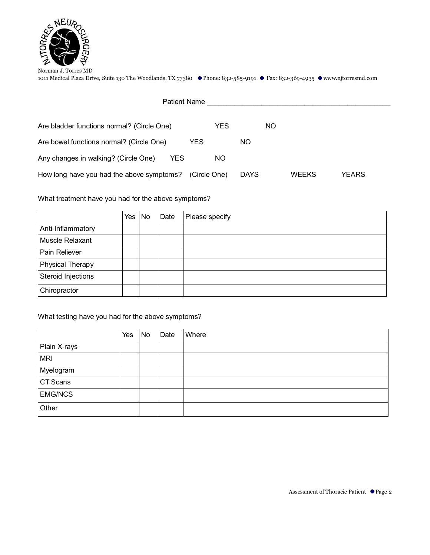

| Patient Name                                       |              |             |              |       |
|----------------------------------------------------|--------------|-------------|--------------|-------|
| Are bladder functions normal? (Circle One)         | <b>YES</b>   | NO.         |              |       |
| Are bowel functions normal? (Circle One)           | YES          | NO.         |              |       |
| Any changes in walking? (Circle One)<br><b>YES</b> | <b>NO</b>    |             |              |       |
| How long have you had the above symptoms?          | (Circle One) | <b>DAYS</b> | <b>WEEKS</b> | YEARS |

What treatment have you had for the above symptoms?

|                    | Yes | No | Date | Please specify |
|--------------------|-----|----|------|----------------|
| Anti-Inflammatory  |     |    |      |                |
| Muscle Relaxant    |     |    |      |                |
| Pain Reliever      |     |    |      |                |
| Physical Therapy   |     |    |      |                |
| Steroid Injections |     |    |      |                |
| Chiropractor       |     |    |      |                |

#### What testing have you had for the above symptoms?

|                | Yes | No | Date | Where |
|----------------|-----|----|------|-------|
| Plain X-rays   |     |    |      |       |
| <b>MRI</b>     |     |    |      |       |
| Myelogram      |     |    |      |       |
| CT Scans       |     |    |      |       |
| <b>EMG/NCS</b> |     |    |      |       |
| Other          |     |    |      |       |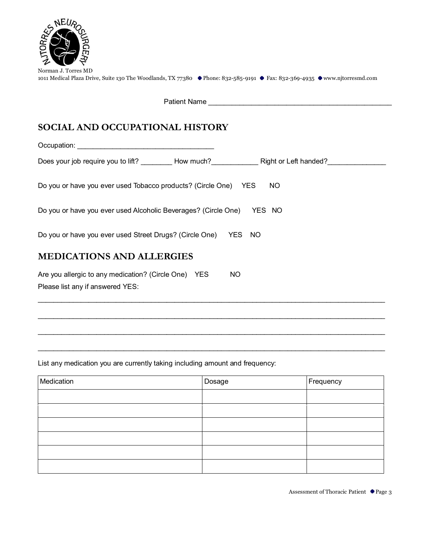

| Norman J. Torres MD                                                                                                        |  |  |
|----------------------------------------------------------------------------------------------------------------------------|--|--|
| 1011 Medical Plaza Drive, Suite 130 The Woodlands, TX 77380 ● Phone: 832-585-9191 ● Fax: 832-369-4935 ● www.njtorresmd.com |  |  |

Patient Name

## **SOCIAL AND OCCUPATIONAL HISTORY**

Occupation: \_\_\_\_\_\_\_\_\_\_\_\_\_\_\_\_\_\_\_\_\_\_\_\_\_\_\_\_\_\_\_\_\_\_\_ Does your job require you to lift? \_\_\_\_\_\_\_\_\_ How much? Right or Left handed? \_\_\_\_\_\_\_\_\_\_\_\_\_\_\_\_\_\_\_\_\_\_ Do you or have you ever used Tobacco products? (Circle One) YES NO Do you or have you ever used Alcoholic Beverages? (Circle One) YES NO Do you or have you ever used Street Drugs? (Circle One) YES NO **MEDICATIONS AND ALLERGIES** Are you allergic to any medication? (Circle One) YES NO Please list any if answered YES:  $\mathcal{L}_\text{max}$  , and the contribution of the contribution of the contribution of the contribution of the contribution of the contribution of the contribution of the contribution of the contribution of the contribution of t

List any medication you are currently taking including amount and frequency:

| Medication | Dosage | Frequency |
|------------|--------|-----------|
|            |        |           |
|            |        |           |
|            |        |           |
|            |        |           |
|            |        |           |
|            |        |           |

 $\mathcal{L}_\mathcal{L} = \mathcal{L}_\mathcal{L} = \mathcal{L}_\mathcal{L} = \mathcal{L}_\mathcal{L} = \mathcal{L}_\mathcal{L} = \mathcal{L}_\mathcal{L} = \mathcal{L}_\mathcal{L} = \mathcal{L}_\mathcal{L} = \mathcal{L}_\mathcal{L} = \mathcal{L}_\mathcal{L} = \mathcal{L}_\mathcal{L} = \mathcal{L}_\mathcal{L} = \mathcal{L}_\mathcal{L} = \mathcal{L}_\mathcal{L} = \mathcal{L}_\mathcal{L} = \mathcal{L}_\mathcal{L} = \mathcal{L}_\mathcal{L}$ 

 $\mathcal{L}_\text{max}$  , and the contribution of the contribution of the contribution of the contribution of the contribution of the contribution of the contribution of the contribution of the contribution of the contribution of t

 $\mathcal{L}_\mathcal{L} = \mathcal{L}_\mathcal{L} = \mathcal{L}_\mathcal{L} = \mathcal{L}_\mathcal{L} = \mathcal{L}_\mathcal{L} = \mathcal{L}_\mathcal{L} = \mathcal{L}_\mathcal{L} = \mathcal{L}_\mathcal{L} = \mathcal{L}_\mathcal{L} = \mathcal{L}_\mathcal{L} = \mathcal{L}_\mathcal{L} = \mathcal{L}_\mathcal{L} = \mathcal{L}_\mathcal{L} = \mathcal{L}_\mathcal{L} = \mathcal{L}_\mathcal{L} = \mathcal{L}_\mathcal{L} = \mathcal{L}_\mathcal{L}$ 

Assessment of Thoracic Patient ● Page 3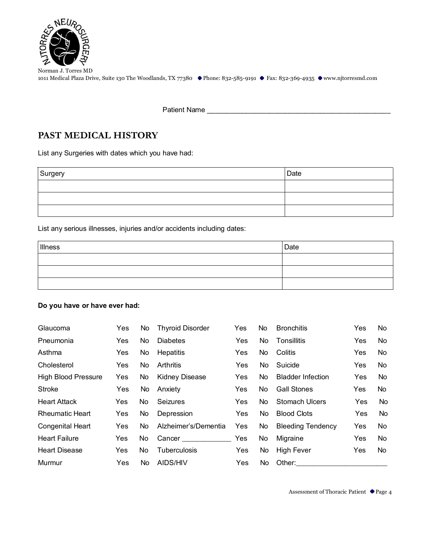

Patient Name \_\_\_\_\_\_\_\_\_\_\_\_\_\_\_\_\_\_\_\_\_\_\_\_\_\_\_\_\_\_\_\_\_\_\_\_\_\_\_\_\_\_\_\_\_\_\_

### **PAST MEDICAL HISTORY**

List any Surgeries with dates which you have had:

| Surgery | Date |
|---------|------|
|         |      |
|         |      |
|         |      |

List any serious illnesses, injuries and/or accidents including dates:

| Illness | Date |
|---------|------|
|         |      |
|         |      |
|         |      |

#### **Do you have or have ever had:**

| Glaucoma                   | Yes.       | No  | <b>Thyroid Disorder</b> | Yes        | No  | <b>Bronchitis</b>        | Yes        | No. |
|----------------------------|------------|-----|-------------------------|------------|-----|--------------------------|------------|-----|
| Pneumonia                  | Yes        | No. | <b>Diabetes</b>         | Yes        | No. | Tonsillitis              | <b>Yes</b> | No. |
| Asthma                     | Yes        | No  | <b>Hepatitis</b>        | <b>Yes</b> | No. | Colitis                  | Yes        | No. |
| Cholesterol                | Yes.       | No. | Arthritis               | Yes        | No. | Suicide                  | Yes        | No. |
| <b>High Blood Pressure</b> | Yes        | No. | <b>Kidney Disease</b>   | <b>Yes</b> | No. | <b>Bladder Infection</b> | Yes        | No. |
| <b>Stroke</b>              | <b>Yes</b> | No. | Anxiety                 | Yes        | No. | <b>Gall Stones</b>       | Yes        | No. |
| <b>Heart Attack</b>        | Yes        | No  | Seizures                | <b>Yes</b> | No. | Stomach Ulcers           | Yes        | No. |
| <b>Rheumatic Heart</b>     | Yes        | No. | Depression              | Yes        | No. | <b>Blood Clots</b>       | Yes        | No. |
| Congenital Heart           | Yes        | No. | Alzheimer's/Dementia    | Yes        | No  | <b>Bleeding Tendency</b> | Yes        | No. |
| <b>Heart Failure</b>       | Yes        | No. |                         | Yes        | No  | Migraine                 | Yes        | No. |
| <b>Heart Disease</b>       | Yes        | No. | <b>Tuberculosis</b>     | Yes        | No  | High Fever               | Yes        | No. |
| Murmur                     | <b>Yes</b> | No. | AIDS/HIV                | Yes        | No. | Other:                   |            |     |